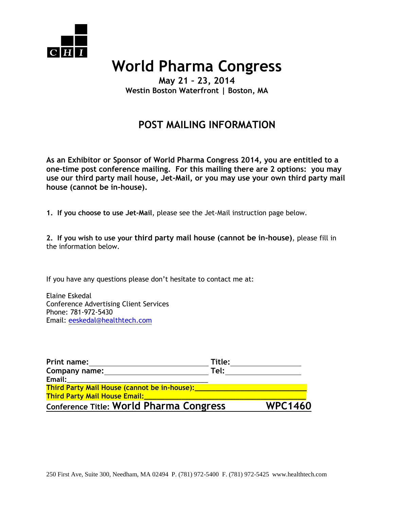

## **World Pharma Congress**

**May 21 – 23, 2014 Westin Boston Waterfront | Boston, MA** 

## **POST MAILING INFORMATION**

**As an Exhibitor or Sponsor of World Pharma Congress 2014, you are entitled to a one-time post conference mailing. For this mailing there are 2 options: you may use our third party mail house, Jet-Mail, or you may use your own third party mail house (cannot be in-house).**

**1. If you choose to use Jet-Mail**, please see the Jet-Mail instruction page below.

**2. If you wish to use your third party mail house (cannot be in-house)**, please fill in the information below.

If you have any questions please don't hesitate to contact me at:

Elaine Eskedal Conference Advertising Client Services Phone: 781-972-5430 Email: [eeskedal@healthtech.com](mailto:eeskedal@healthtech.com)

| Print name:                                                                          | Title: |                |
|--------------------------------------------------------------------------------------|--------|----------------|
| Company name:                                                                        | Tel:   |                |
| Email:                                                                               |        |                |
| Third Party Mail House (cannot be in-house):<br><b>Third Party Mail House Email:</b> |        |                |
|                                                                                      |        |                |
| <b>Conference Title: World Pharma Congress</b>                                       |        | <b>WPC1460</b> |